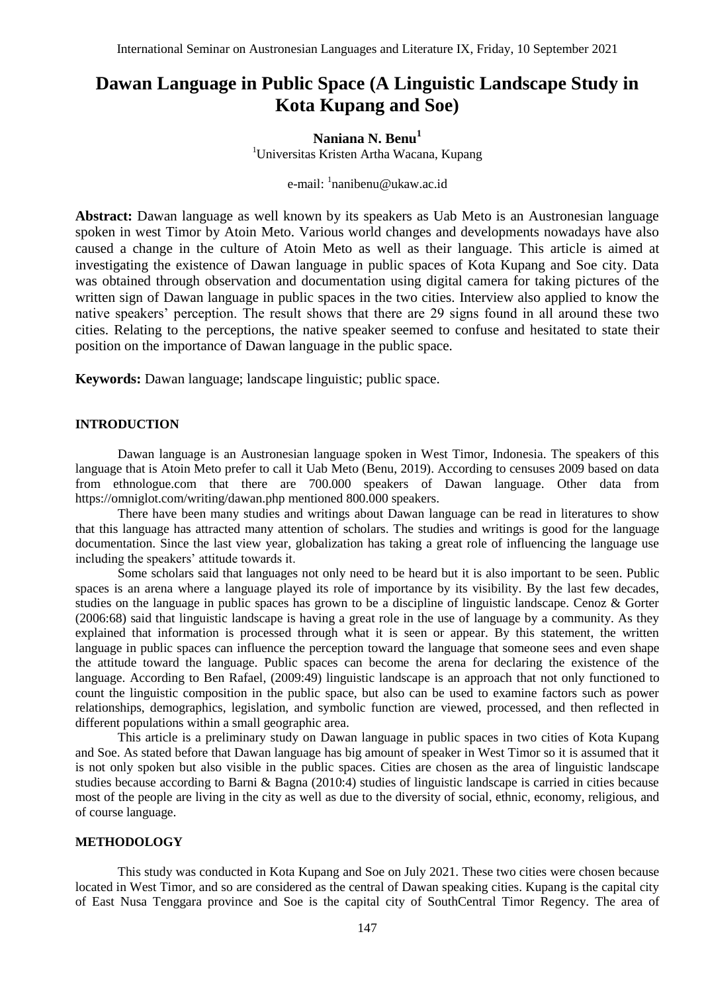# **Dawan Language in Public Space (A Linguistic Landscape Study in Kota Kupang and Soe)**

## **Naniana N. Benu<sup>1</sup>**

<sup>1</sup>Universitas Kristen Artha Wacana, Kupang

## e-mail: <sup>1</sup>[nanibenu@ukaw.ac.id](mailto:nanibenu@ukaw.ac.id)

**Abstract:** Dawan language as well known by its speakers as Uab Meto is an Austronesian language spoken in west Timor by Atoin Meto. Various world changes and developments nowadays have also caused a change in the culture of Atoin Meto as well as their language. This article is aimed at investigating the existence of Dawan language in public spaces of Kota Kupang and Soe city. Data was obtained through observation and documentation using digital camera for taking pictures of the written sign of Dawan language in public spaces in the two cities. Interview also applied to know the native speakers' perception. The result shows that there are 29 signs found in all around these two cities. Relating to the perceptions, the native speaker seemed to confuse and hesitated to state their position on the importance of Dawan language in the public space.

**Keywords:** Dawan language; landscape linguistic; public space.

#### **INTRODUCTION**

Dawan language is an Austronesian language spoken in West Timor, Indonesia. The speakers of this language that is Atoin Meto prefer to call it Uab Meto (Benu, 2019). According to censuses 2009 based on data from ethnologue.com that there are 700.000 speakers of Dawan language. Other data from <https://omniglot.com/writing/dawan.php> mentioned 800.000 speakers.

There have been many studies and writings about Dawan language can be read in literatures to show that this language has attracted many attention of scholars. The studies and writings is good for the language documentation. Since the last view year, globalization has taking a great role of influencing the language use including the speakers' attitude towards it.

Some scholars said that languages not only need to be heard but it is also important to be seen. Public spaces is an arena where a language played its role of importance by its visibility. By the last few decades, studies on the language in public spaces has grown to be a discipline of linguistic landscape. Cenoz & Gorter (2006:68) said that linguistic landscape is having a great role in the use of language by a community. As they explained that information is processed through what it is seen or appear. By this statement, the written language in public spaces can influence the perception toward the language that someone sees and even shape the attitude toward the language. Public spaces can become the arena for declaring the existence of the language. According to Ben Rafael, (2009:49) linguistic landscape is an approach that not only functioned to count the linguistic composition in the public space, but also can be used to examine factors such as power relationships, demographics, legislation, and symbolic function are viewed, processed, and then reflected in different populations within a small geographic area.

This article is a preliminary study on Dawan language in public spaces in two cities of Kota Kupang and Soe. As stated before that Dawan language has big amount of speaker in West Timor so it is assumed that it is not only spoken but also visible in the public spaces. Cities are chosen as the area of linguistic landscape studies because according to Barni & Bagna (2010:4) studies of linguistic landscape is carried in cities because most of the people are living in the city as well as due to the diversity of social, ethnic, economy, religious, and of course language.

#### **METHODOLOGY**

This study was conducted in Kota Kupang and Soe on July 2021. These two cities were chosen because located in West Timor, and so are considered as the central of Dawan speaking cities. Kupang is the capital city of East Nusa Tenggara province and Soe is the capital city of SouthCentral Timor Regency. The area of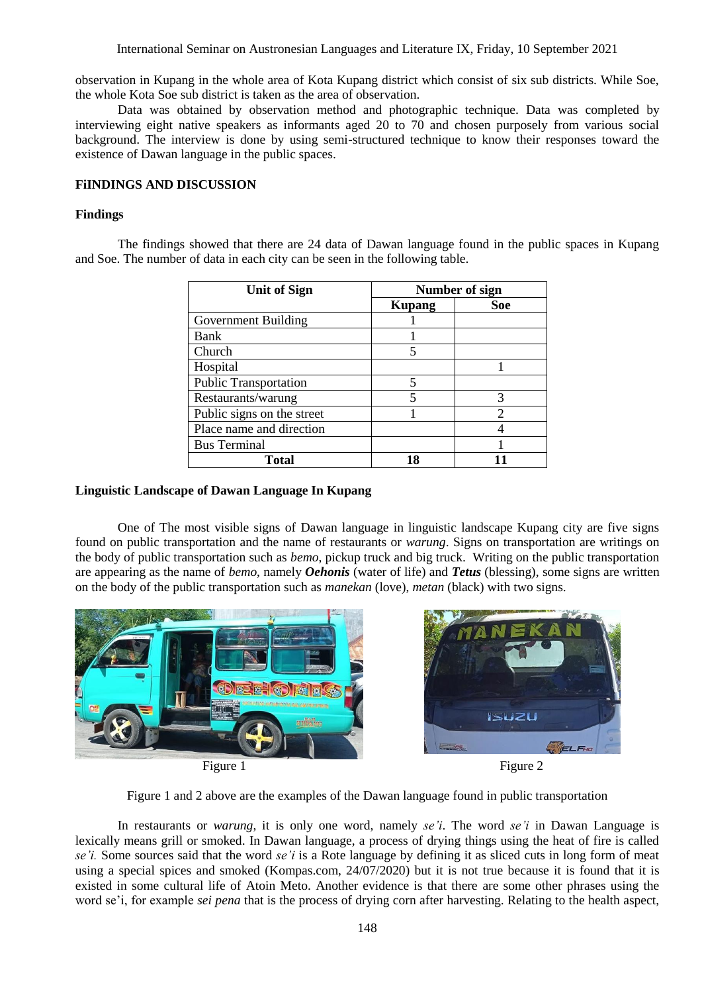International Seminar on Austronesian Languages and Literature IX, Friday, 10 September 2021

observation in Kupang in the whole area of Kota Kupang district which consist of six sub districts. While Soe, the whole Kota Soe sub district is taken as the area of observation.

Data was obtained by observation method and photographic technique. Data was completed by interviewing eight native speakers as informants aged 20 to 70 and chosen purposely from various social background. The interview is done by using semi-structured technique to know their responses toward the existence of Dawan language in the public spaces.

## **FiINDINGS AND DISCUSSION**

## **Findings**

The findings showed that there are 24 data of Dawan language found in the public spaces in Kupang and Soe. The number of data in each city can be seen in the following table.

| <b>Unit of Sign</b>          | Number of sign |     |
|------------------------------|----------------|-----|
|                              | <b>Kupang</b>  | Soe |
| Government Building          |                |     |
| Bank                         |                |     |
| Church                       |                |     |
| Hospital                     |                |     |
| <b>Public Transportation</b> | 5              |     |
| Restaurants/warung           | 5              |     |
| Public signs on the street   |                |     |
| Place name and direction     |                |     |
| <b>Bus Terminal</b>          |                |     |
| Total                        |                |     |

## **Linguistic Landscape of Dawan Language In Kupang**

One of The most visible signs of Dawan language in linguistic landscape Kupang city are five signs found on public transportation and the name of restaurants or *warung*. Signs on transportation are writings on the body of public transportation such as *bemo*, pickup truck and big truck. Writing on the public transportation are appearing as the name of *bemo*, namely *Oehonis* (water of life) and *Tetus* (blessing), some signs are written on the body of the public transportation such as *manekan* (love), *metan* (black) with two signs.



Figure 1 and 2 above are the examples of the Dawan language found in public transportation

In restaurants or *warung*, it is only one word, namely *se'i*. The word *se'i* in Dawan Language is lexically means grill or smoked. In Dawan language, a process of drying things using the heat of fire is called *se'i.* Some sources said that the word *se'i* is a Rote language by defining it as sliced cuts in long form of meat using a special spices and smoked (Kompas.com, 24/07/2020) but it is not true because it is found that it is existed in some cultural life of Atoin Meto. Another evidence is that there are some other phrases using the word se'i, for example *sei pena* that is the process of drying corn after harvesting. Relating to the health aspect,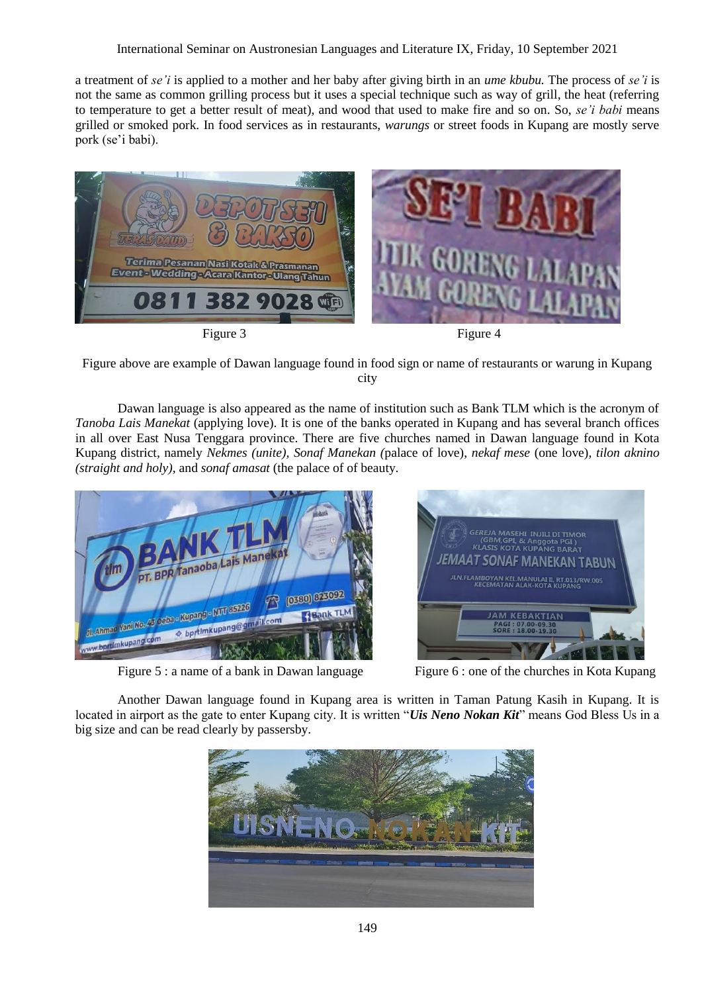a treatment of *se'i* is applied to a mother and her baby after giving birth in an *ume kbubu.* The process of *se'i* is not the same as common grilling process but it uses a special technique such as way of grill, the heat (referring to temperature to get a better result of meat), and wood that used to make fire and so on. So, *se'i babi* means grilled or smoked pork. In food services as in restaurants, *warungs* or street foods in Kupang are mostly serve pork (se'i babi).



Figure above are example of Dawan language found in food sign or name of restaurants or warung in Kupang city

Dawan language is also appeared as the name of institution such as Bank TLM which is the acronym of *Tanoba Lais Manekat* (applying love). It is one of the banks operated in Kupang and has several branch offices in all over East Nusa Tenggara province. There are five churches named in Dawan language found in Kota Kupang district, namely *Nekmes (unite), Sonaf Manekan (*palace of love), *nekaf mese* (one love), *tilon aknino (straight and holy)*, and *sonaf amasat* (the palace of of beauty.



Figure 5 : a name of a bank in Dawan language Figure 6 : one of the churches in Kota Kupang



Another Dawan language found in Kupang area is written in Taman Patung Kasih in Kupang. It is located in airport as the gate to enter Kupang city. It is written "*Uis Neno Nokan Kit*" means God Bless Us in a big size and can be read clearly by passersby.

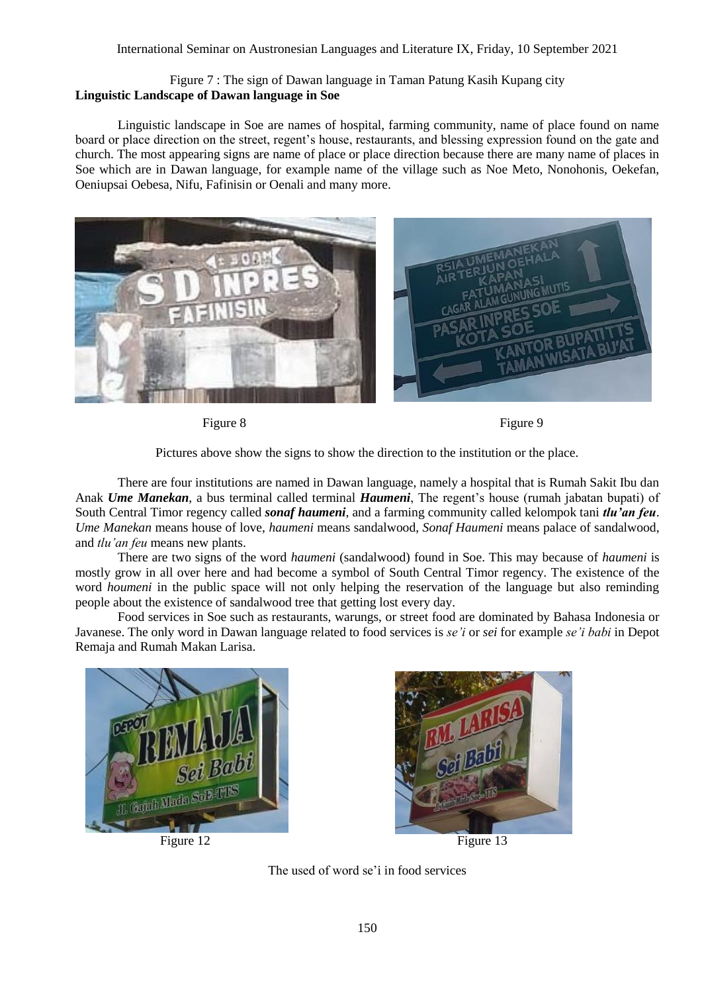## Figure 7 : The sign of Dawan language in Taman Patung Kasih Kupang city **Linguistic Landscape of Dawan language in Soe**

Linguistic landscape in Soe are names of hospital, farming community, name of place found on name board or place direction on the street, regent's house, restaurants, and blessing expression found on the gate and church. The most appearing signs are name of place or place direction because there are many name of places in Soe which are in Dawan language, for example name of the village such as Noe Meto, Nonohonis, Oekefan, Oeniupsai Oebesa, Nifu, Fafinisin or Oenali and many more.



Figure 8 Figure 9

Pictures above show the signs to show the direction to the institution or the place.

There are four institutions are named in Dawan language, namely a hospital that is Rumah Sakit Ibu dan Anak *Ume Manekan*, a bus terminal called terminal *Haumeni*, The regent's house (rumah jabatan bupati) of South Central Timor regency called *sonaf haumeni*, and a farming community called kelompok tani *tlu'an feu*. *Ume Manekan* means house of love, *haumeni* means sandalwood, *Sonaf Haumeni* means palace of sandalwood, and *tlu'an feu* means new plants.

There are two signs of the word *haumeni* (sandalwood) found in Soe. This may because of *haumeni* is mostly grow in all over here and had become a symbol of South Central Timor regency. The existence of the word *houmeni* in the public space will not only helping the reservation of the language but also reminding people about the existence of sandalwood tree that getting lost every day.

Food services in Soe such as restaurants, warungs, or street food are dominated by Bahasa Indonesia or Javanese. The only word in Dawan language related to food services is *se'i* or *sei* for example *se'i babi* in Depot Remaja and Rumah Makan Larisa.





Figure 12 Figure 13

The used of word se'i in food services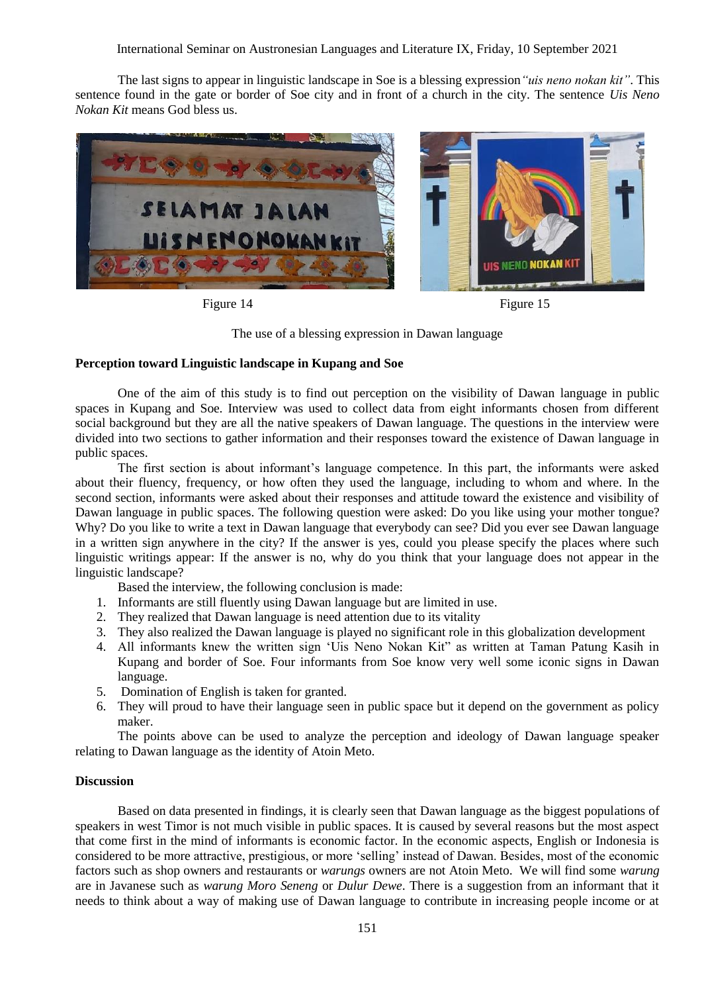International Seminar on Austronesian Languages and Literature IX, Friday, 10 September 2021

The last signs to appear in linguistic landscape in Soe is a blessing expression*"uis neno nokan kit"*. This sentence found in the gate or border of Soe city and in front of a church in the city. The sentence *Uis Neno Nokan Kit* means God bless us.



Figure 14 Figure 15

The use of a blessing expression in Dawan language

#### **Perception toward Linguistic landscape in Kupang and Soe**

One of the aim of this study is to find out perception on the visibility of Dawan language in public spaces in Kupang and Soe. Interview was used to collect data from eight informants chosen from different social background but they are all the native speakers of Dawan language. The questions in the interview were divided into two sections to gather information and their responses toward the existence of Dawan language in public spaces.

The first section is about informant's language competence. In this part, the informants were asked about their fluency, frequency, or how often they used the language, including to whom and where. In the second section, informants were asked about their responses and attitude toward the existence and visibility of Dawan language in public spaces. The following question were asked: Do you like using your mother tongue? Why? Do you like to write a text in Dawan language that everybody can see? Did you ever see Dawan language in a written sign anywhere in the city? If the answer is yes, could you please specify the places where such linguistic writings appear: If the answer is no, why do you think that your language does not appear in the linguistic landscape?

Based the interview, the following conclusion is made:

- 1. Informants are still fluently using Dawan language but are limited in use.
- 2. They realized that Dawan language is need attention due to its vitality
- 3. They also realized the Dawan language is played no significant role in this globalization development
- 4. All informants knew the written sign 'Uis Neno Nokan Kit" as written at Taman Patung Kasih in Kupang and border of Soe. Four informants from Soe know very well some iconic signs in Dawan language.
- 5. Domination of English is taken for granted.
- 6. They will proud to have their language seen in public space but it depend on the government as policy maker.

The points above can be used to analyze the perception and ideology of Dawan language speaker relating to Dawan language as the identity of Atoin Meto.

#### **Discussion**

Based on data presented in findings, it is clearly seen that Dawan language as the biggest populations of speakers in west Timor is not much visible in public spaces. It is caused by several reasons but the most aspect that come first in the mind of informants is economic factor. In the economic aspects, English or Indonesia is considered to be more attractive, prestigious, or more 'selling' instead of Dawan. Besides, most of the economic factors such as shop owners and restaurants or *warungs* owners are not Atoin Meto. We will find some *warung* are in Javanese such as *warung Moro Seneng* or *Dulur Dewe*. There is a suggestion from an informant that it needs to think about a way of making use of Dawan language to contribute in increasing people income or at